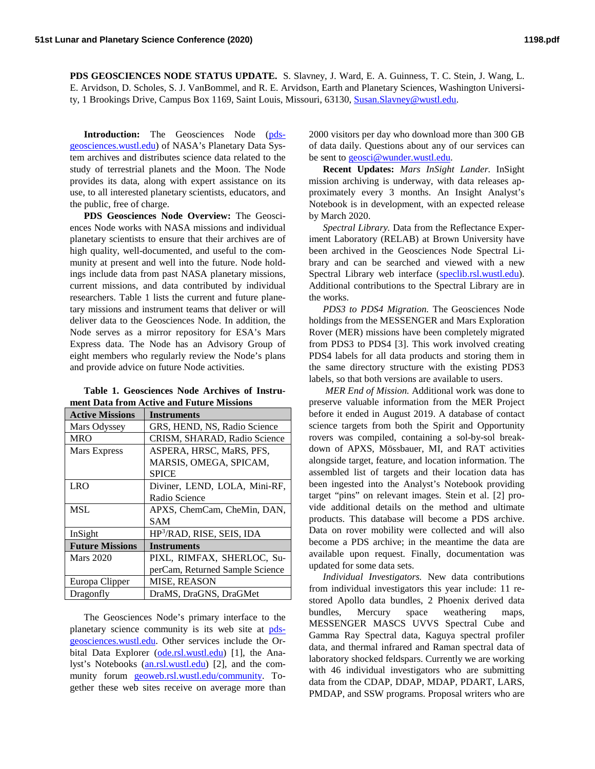**PDS GEOSCIENCES NODE STATUS UPDATE.** S. Slavney, J. Ward, E. A. Guinness, T. C. Stein, J. Wang, L. E. Arvidson, D. Scholes, S. J. VanBommel, and R. E. Arvidson, Earth and Planetary Sciences, Washington University, 1 Brookings Drive, Campus Box 1169, Saint Louis, Missouri, 63130, [Susan.Slavney@wustl.edu.](mailto:Susan.Slavney@wustl.edu)

**Introduction:** The Geosciences Node [\(pds](https://pds-geosciences.wustl.edu/)[geosciences.wustl.edu\)](https://pds-geosciences.wustl.edu/) of NASA's Planetary Data System archives and distributes science data related to the study of terrestrial planets and the Moon. The Node provides its data, along with expert assistance on its use, to all interested planetary scientists, educators, and the public, free of charge.

**PDS Geosciences Node Overview:** The Geosciences Node works with NASA missions and individual planetary scientists to ensure that their archives are of high quality, well-documented, and useful to the community at present and well into the future. Node holdings include data from past NASA planetary missions, current missions, and data contributed by individual researchers. Table 1 lists the current and future planetary missions and instrument teams that deliver or will deliver data to the Geosciences Node. In addition, the Node serves as a mirror repository for ESA's Mars Express data. The Node has an Advisory Group of eight members who regularly review the Node's plans and provide advice on future Node activities.

**Table 1. Geosciences Node Archives of Instrument Data from Active and Future Missions**

| <b>Active Missions</b> | <b>Instruments</b>                    |
|------------------------|---------------------------------------|
| Mars Odyssey           | GRS, HEND, NS, Radio Science          |
| <b>MRO</b>             | CRISM, SHARAD, Radio Science          |
| Mars Express           | ASPERA, HRSC, MaRS, PFS,              |
|                        | MARSIS, OMEGA, SPICAM,                |
|                        | <b>SPICE</b>                          |
| LRO                    | Diviner, LEND, LOLA, Mini-RF,         |
|                        | Radio Science                         |
| MSL                    | APXS, ChemCam, CheMin, DAN,           |
|                        | SAM                                   |
| InSight                | HP <sup>3</sup> /RAD, RISE, SEIS, IDA |
| <b>Future Missions</b> | <b>Instruments</b>                    |
| <b>Mars 2020</b>       | PIXL, RIMFAX, SHERLOC, Su-            |
|                        | perCam, Returned Sample Science       |
| Europa Clipper         | <b>MISE, REASON</b>                   |
| Dragonfly              | DraMS, DraGNS, DraGMet                |

The Geosciences Node's primary interface to the planetary science community is its web site at [pds](https://pds-geosciences.wustl.edu/)[geosciences.wustl.edu.](https://pds-geosciences.wustl.edu/) Other services include the Or-bital Data Explorer [\(ode.rsl.wustl.edu\)](https://ode.rsl.wustl.edu/) [1], the Analyst's Notebooks [\(an.rsl.wustl.edu\)](https://an.rsl.wustl.edu/) [2], and the community forum [geoweb.rsl.wustl.edu/community.](https://geoweb.rsl.wustl.edu/community/) Together these web sites receive on average more than 2000 visitors per day who download more than 300 GB of data daily. Questions about any of our services can be sent to [geosci@wunder.wustl.edu.](mailto:geosci@wunder.wustl.edu)

**Recent Updates:** *Mars InSight Lander.* InSight mission archiving is underway, with data releases approximately every 3 months. An Insight Analyst's Notebook is in development, with an expected release by March 2020.

*Spectral Library.* Data from the Reflectance Experiment Laboratory (RELAB) at Brown University have been archived in the Geosciences Node Spectral Library and can be searched and viewed with a new Spectral Library web interface [\(speclib.rsl.wustl.edu\)](https://speclib.rsl.wustl.edu/). Additional contributions to the Spectral Library are in the works.

*PDS3 to PDS4 Migration.* The Geosciences Node holdings from the MESSENGER and Mars Exploration Rover (MER) missions have been completely migrated from PDS3 to PDS4 [3]. This work involved creating PDS4 labels for all data products and storing them in the same directory structure with the existing PDS3 labels, so that both versions are available to users.

*MER End of Mission.* Additional work was done to preserve valuable information from the MER Project before it ended in August 2019. A database of contact science targets from both the Spirit and Opportunity rovers was compiled, containing a sol-by-sol breakdown of APXS, Mössbauer, MI, and RAT activities alongside target, feature, and location information. The assembled list of targets and their location data has been ingested into the Analyst's Notebook providing target "pins" on relevant images. Stein et al. [2] provide additional details on the method and ultimate products. This database will become a PDS archive. Data on rover mobility were collected and will also become a PDS archive; in the meantime the data are available upon request. Finally, documentation was updated for some data sets.

*Individual Investigators.* New data contributions from individual investigators this year include: 11 restored Apollo data bundles, 2 Phoenix derived data bundles, Mercury space weathering maps, MESSENGER MASCS UVVS Spectral Cube and Gamma Ray Spectral data, Kaguya spectral profiler data, and thermal infrared and Raman spectral data of laboratory shocked feldspars. Currently we are working with 46 individual investigators who are submitting data from the CDAP, DDAP, MDAP, PDART, LARS, PMDAP, and SSW programs. Proposal writers who are